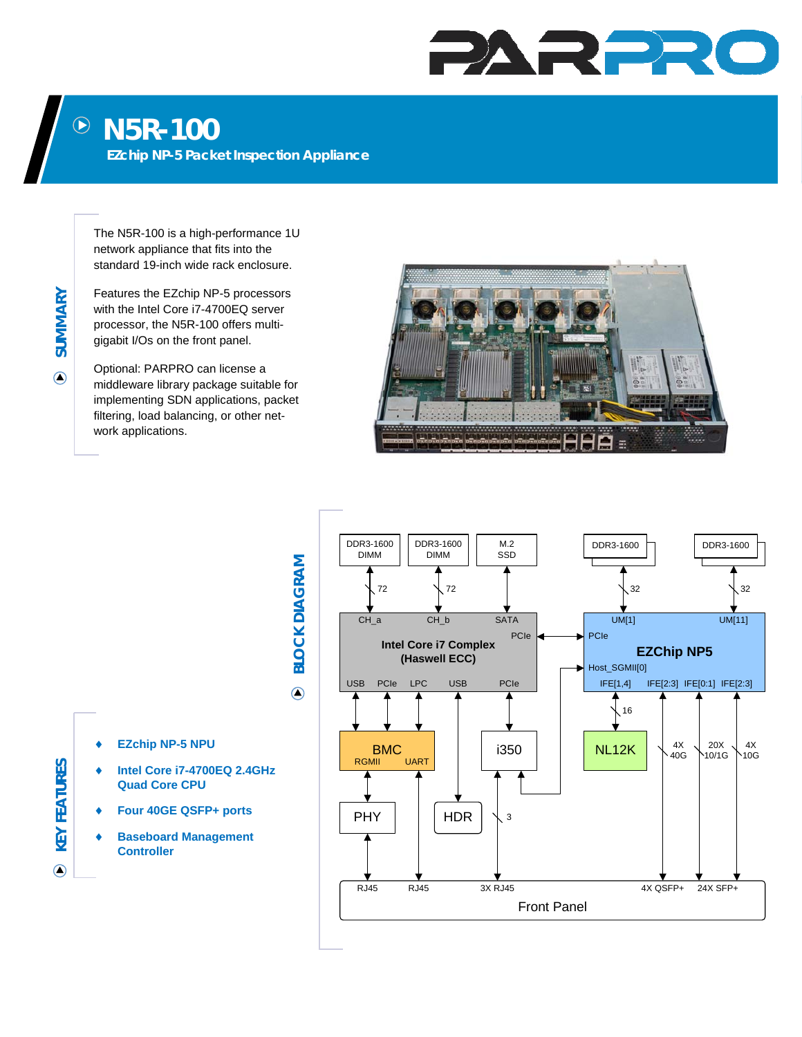## PARPR

## **N5R-100**   $\bigodot$

**EZchip NP-5 Packet Inspection Appliance** 

The N5R-100 is a high-performance 1U network appliance that fits into the standard 19-inch wide rack enclosure.

Features the EZchip NP-5 processors with the Intel Core i7-4700EQ server processor, the N5R-100 offers multigigabit I/Os on the front panel.

Optional: PARPRO can license a middleware library package suitable for implementing SDN applications, packet filtering, load balancing, or other network applications.





**EZchip NP-5 NPU** 

- **Intel Core i7-4700EQ 2.4GHz Quad Core CPU**
- **Four 40GE QSFP+ ports**
- **Baseboard Management Controller**

**KEY FEATURES** 

**KEY FEATURES** 

 $\odot$